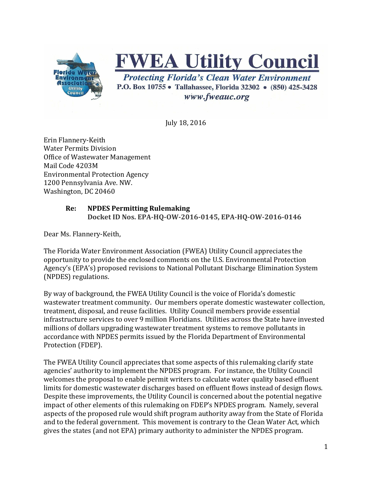

## **FWEA Utility Council**

**Protecting Florida's Clean Water Environment** P.O. Box 10755 • Tallahassee, Florida 32302 • (850) 425-3428 www.fweauc.org

July 18, 2016

Erin Flannery-Keith Water Permits Division Office of Wastewater Management Mail Code 4203M Environmental Protection Agency 1200 Pennsylvania Ave. NW. Washington, DC 20460

## **Re: NPDES Permitting Rulemaking Docket ID Nos. EPA-HQ-OW-2016-0145, EPA-HQ-OW-2016-0146**

Dear Ms. Flannery-Keith,

The Florida Water Environment Association (FWEA) Utility Council appreciates the opportunity to provide the enclosed comments on the U.S. Environmental Protection Agency's (EPA's) proposed revisions to National Pollutant Discharge Elimination System (NPDES) regulations.

By way of background, the FWEA Utility Council is the voice of Florida's domestic wastewater treatment community. Our members operate domestic wastewater collection, treatment, disposal, and reuse facilities. Utility Council members provide essential infrastructure services to over 9 million Floridians. Utilities across the State have invested millions of dollars upgrading wastewater treatment systems to remove pollutants in accordance with NPDES permits issued by the Florida Department of Environmental Protection (FDEP).

The FWEA Utility Council appreciates that some aspects of this rulemaking clarify state agencies' authority to implement the NPDES program. For instance, the Utility Council welcomes the proposal to enable permit writers to calculate water quality based effluent limits for domestic wastewater discharges based on effluent flows instead of design flows. Despite these improvements, the Utility Council is concerned about the potential negative impact of other elements of this rulemaking on FDEP's NPDES program. Namely, several aspects of the proposed rule would shift program authority away from the State of Florida and to the federal government. This movement is contrary to the Clean Water Act, which gives the states (and not EPA) primary authority to administer the NPDES program.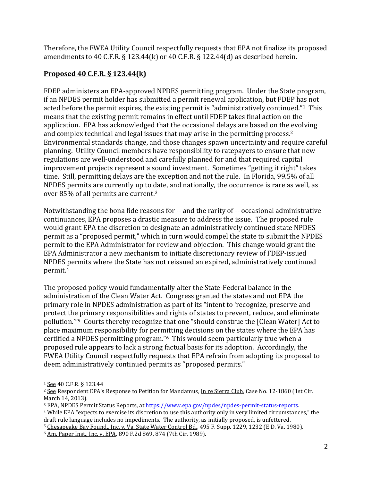Therefore, the FWEA Utility Council respectfully requests that EPA not finalize its proposed amendments to 40 C.F.R. § 123.44(k) or 40 C.F.R. § 122.44(d) as described herein.

## **Proposed 40 C.F.R. § 123.44(k)**

FDEP administers an EPA-approved NPDES permitting program. Under the State program, if an NPDES permit holder has submitted a permit renewal application, but FDEP has not acted before the permit expires, the existing permit is "administratively continued."1 This means that the existing permit remains in effect until FDEP takes final action on the application. EPA has acknowledged that the occasional delays are based on the evolving and complex technical and legal issues that may arise in the permitting process.<sup>2</sup> Environmental standards change, and those changes spawn uncertainty and require careful planning. Utility Council members have responsibility to ratepayers to ensure that new regulations are well-understood and carefully planned for and that required capital improvement projects represent a sound investment. Sometimes "getting it right" takes time. Still, permitting delays are the exception and not the rule. In Florida, 99.5% of all NPDES permits are currently up to date, and nationally, the occurrence is rare as well, as over 85% of all permits are current.<sup>3</sup>

Notwithstanding the bona fide reasons for -- and the rarity of -- occasional administrative continuances, EPA proposes a drastic measure to address the issue. The proposed rule would grant EPA the discretion to designate an administratively continued state NPDES permit as a "proposed permit," which in turn would compel the state to submit the NPDES permit to the EPA Administrator for review and objection. This change would grant the EPA Administrator a new mechanism to initiate discretionary review of FDEP-issued NPDES permits where the State has not reissued an expired, administratively continued permit.<sup>4</sup>

The proposed policy would fundamentally alter the State-Federal balance in the administration of the Clean Water Act. Congress granted the states and not EPA the primary role in NPDES administration as part of its "intent to 'recognize, preserve and protect the primary responsibilities and rights of states to prevent, reduce, and eliminate pollution.'"<sup>5</sup> Courts thereby recognize that one "should construe the [Clean Water] Act to place maximum responsibility for permitting decisions on the states where the EPA has certified a NPDES permitting program."6 This would seem particularly true when a proposed rule appears to lack a strong factual basis for its adoption. Accordingly, the FWEA Utility Council respectfully requests that EPA refrain from adopting its proposal to deem administratively continued permits as "proposed permits."

 $\overline{a}$ 

<sup>1</sup> See 40 C.F.R. § 123.44

<sup>2</sup> See Respondent EPA's Response to Petition for Mandamus, In re Sierra Club, Case No. 12-1860 (1st Cir. March 14, 2013).

<sup>3</sup> EPA, NPDES Permit Status Reports, at [https://www.epa.gov/npdes/npdes-permit-status-reports.](https://www.epa.gov/npdes/npdes-permit-status-reports)

<sup>4</sup> While EPA "expects to exercise its discretion to use this authority only in very limited circumstances," the draft rule language includes no impediments. The authority, as initially proposed, is unfettered.

<sup>5</sup> Chesapeake Bay Found., Inc. v. Va. State Water Control Bd., 495 F. Supp. 1229, 1232 (E.D. Va. 1980).

<sup>6</sup> Am. Paper Inst., Inc. v. EPA, 890 F.2d 869, 874 (7th Cir. 1989).